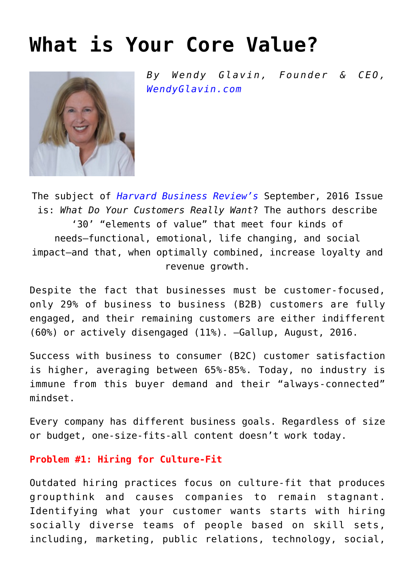## **[What is Your Core Value?](https://www.commpro.biz/what-is-your-core-value/)**



*By Wendy Glavin, Founder & CEO, [WendyGlavin.com](https://wendyglavin.com/)*

The subject of *[Harvard Business Review's](https://hbr.org/)* September, 2016 Issue is: *What Do Your Customers Really Want*? The authors describe '30' "elements of value" that meet four kinds of needs—functional, emotional, life changing, and social impact—and that, when optimally combined, increase loyalty and revenue growth.

Despite the fact that businesses must be customer-focused, only 29% of business to business (B2B) customers are fully engaged, and their remaining customers are either indifferent (60%) or actively disengaged (11%). –Gallup, August, 2016.

Success with business to consumer (B2C) customer satisfaction is higher, averaging between 65%-85%. Today, no industry is immune from this buyer demand and their "always-connected" mindset.

Every company has different business goals. Regardless of size or budget, one-size-fits-all content doesn't work today.

## **Problem #1: Hiring for Culture-Fit**

Outdated hiring practices focus on culture-fit that produces groupthink and causes companies to remain stagnant. Identifying what your customer wants starts with hiring socially diverse teams of people based on skill sets, including, marketing, public relations, technology, social,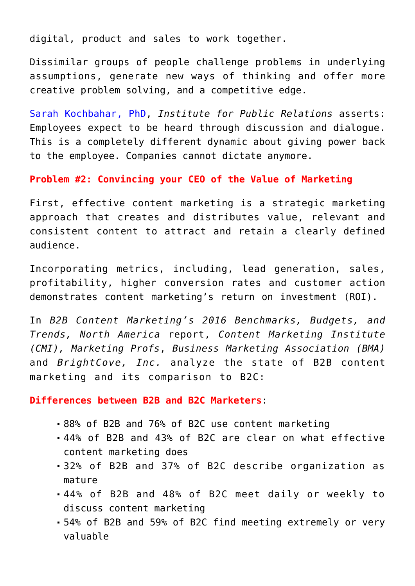digital, product and sales to work together.

Dissimilar groups of people challenge problems in underlying assumptions, generate new ways of thinking and offer more creative problem solving, and a competitive edge.

[Sarah Kochbahar, PhD,](https://www.commpro.biz/?s=Sarab+Kochhar%2C+PhD) *Institute for Public Relations* asserts: Employees expect to be heard through discussion and dialogue. This is a completely different dynamic about giving power back to the employee. Companies cannot dictate anymore.

**Problem #2: Convincing your CEO of the Value of Marketing**

First, effective content marketing is a strategic marketing approach that creates and distributes value, relevant and consistent content to attract and retain a clearly defined audience.

Incorporating metrics, including, lead generation, sales, profitability, higher conversion rates and customer action demonstrates content marketing's return on investment (ROI).

In *B2B Content Marketing's 2016 Benchmarks, Budgets, and Trends, North America* report, *Content Marketing Institute (CMI), Marketing Profs*, *Business Marketing Association (BMA)* and *BrightCove, Inc.* analyze the state of B2B content marketing and its comparison to B2C:

**Differences between B2B and B2C Marketers**:

- 88% of B2B and 76% of B2C use content marketing
- 44% of B2B and 43% of B2C are clear on what effective content marketing does
- 32% of B2B and 37% of B2C describe organization as mature
- 44% of B2B and 48% of B2C meet daily or weekly to discuss content marketing
- 54% of B2B and 59% of B2C find meeting extremely or very valuable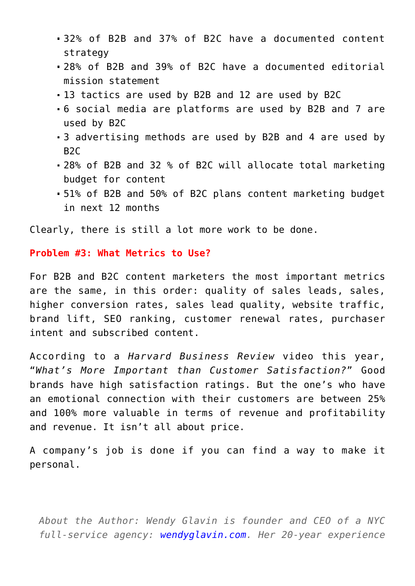- 32% of B2B and 37% of B2C have a documented content strategy
- 28% of B2B and 39% of B2C have a documented editorial mission statement
- 13 tactics are used by B2B and 12 are used by B2C
- 6 social media are platforms are used by B2B and 7 are used by B2C
- 3 advertising methods are used by B2B and 4 are used by  $R2C$
- 28% of B2B and 32 % of B2C will allocate total marketing budget for content
- 51% of B2B and 50% of B2C plans content marketing budget in next 12 months

Clearly, there is still a lot more work to be done.

## **Problem #3: What Metrics to Use?**

For B2B and B2C content marketers the most important metrics are the same, in this order: quality of sales leads, sales, higher conversion rates, sales lead quality, website traffic, brand lift, SEO ranking, customer renewal rates, purchaser intent and subscribed content.

According to a *Harvard Business Review* video this year, "*What's More Important than Customer Satisfaction?*" Good brands have high satisfaction ratings. But the one's who have an emotional connection with their customers are between 25% and 100% more valuable in terms of revenue and profitability and revenue. It isn't all about price.

A company's job is done if you can find a way to make it personal.

*About the Author: Wendy Glavin is founder and CEO of a NYC full-service agency: [wendyglavin.com](https://wendyglavin.com/). Her 20-year experience*